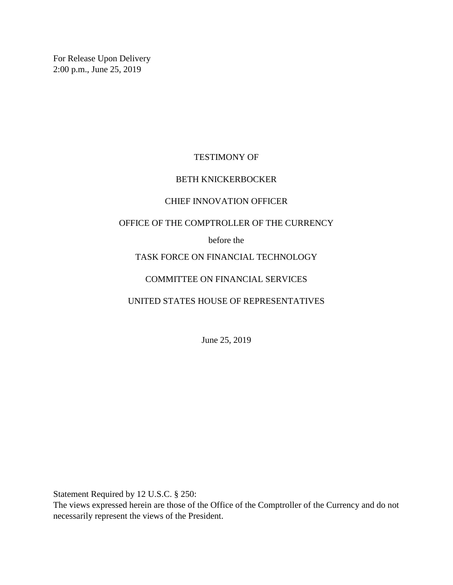For Release Upon Delivery 2:00 p.m., June 25, 2019

# TESTIMONY OF

## BETH KNICKERBOCKER

### CHIEF INNOVATION OFFICER

### OFFICE OF THE COMPTROLLER OF THE CURRENCY

### before the

# TASK FORCE ON FINANCIAL TECHNOLOGY

## COMMITTEE ON FINANCIAL SERVICES

## UNITED STATES HOUSE OF REPRESENTATIVES

June 25, 2019

Statement Required by 12 U.S.C. § 250:

The views expressed herein are those of the Office of the Comptroller of the Currency and do not necessarily represent the views of the President.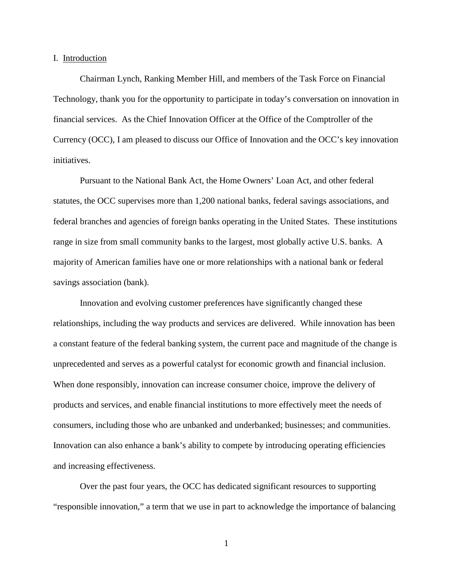#### I. Introduction

Chairman Lynch, Ranking Member Hill, and members of the Task Force on Financial Technology, thank you for the opportunity to participate in today's conversation on innovation in financial services. As the Chief Innovation Officer at the Office of the Comptroller of the Currency (OCC), I am pleased to discuss our Office of Innovation and the OCC's key innovation initiatives.

Pursuant to the National Bank Act, the Home Owners' Loan Act, and other federal statutes, the OCC supervises more than 1,200 national banks, federal savings associations, and federal branches and agencies of foreign banks operating in the United States. These institutions range in size from small community banks to the largest, most globally active U.S. banks. A majority of American families have one or more relationships with a national bank or federal savings association (bank).

Innovation and evolving customer preferences have significantly changed these relationships, including the way products and services are delivered. While innovation has been a constant feature of the federal banking system, the current pace and magnitude of the change is unprecedented and serves as a powerful catalyst for economic growth and financial inclusion. When done responsibly, innovation can increase consumer choice, improve the delivery of products and services, and enable financial institutions to more effectively meet the needs of consumers, including those who are unbanked and underbanked; businesses; and communities. Innovation can also enhance a bank's ability to compete by introducing operating efficiencies and increasing effectiveness.

Over the past four years, the OCC has dedicated significant resources to supporting "responsible innovation," a term that we use in part to acknowledge the importance of balancing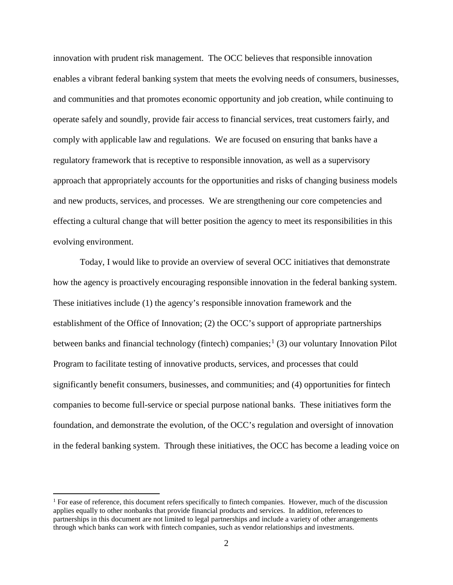innovation with prudent risk management. The OCC believes that responsible innovation enables a vibrant federal banking system that meets the evolving needs of consumers, businesses, and communities and that promotes economic opportunity and job creation, while continuing to operate safely and soundly, provide fair access to financial services, treat customers fairly, and comply with applicable law and regulations. We are focused on ensuring that banks have a regulatory framework that is receptive to responsible innovation, as well as a supervisory approach that appropriately accounts for the opportunities and risks of changing business models and new products, services, and processes. We are strengthening our core competencies and effecting a cultural change that will better position the agency to meet its responsibilities in this evolving environment.

Today, I would like to provide an overview of several OCC initiatives that demonstrate how the agency is proactively encouraging responsible innovation in the federal banking system. These initiatives include (1) the agency's responsible innovation framework and the establishment of the Office of Innovation; (2) the OCC's support of appropriate partnerships between banks and financial technology (fintech) companies;<sup>[1](#page-2-0)</sup> (3) our voluntary Innovation Pilot Program to facilitate testing of innovative products, services, and processes that could significantly benefit consumers, businesses, and communities; and (4) opportunities for fintech companies to become full-service or special purpose national banks. These initiatives form the foundation, and demonstrate the evolution, of the OCC's regulation and oversight of innovation in the federal banking system. Through these initiatives, the OCC has become a leading voice on

<span id="page-2-0"></span> $<sup>1</sup>$  For ease of reference, this document refers specifically to fintech companies. However, much of the discussion</sup> applies equally to other nonbanks that provide financial products and services. In addition, references to partnerships in this document are not limited to legal partnerships and include a variety of other arrangements through which banks can work with fintech companies, such as vendor relationships and investments.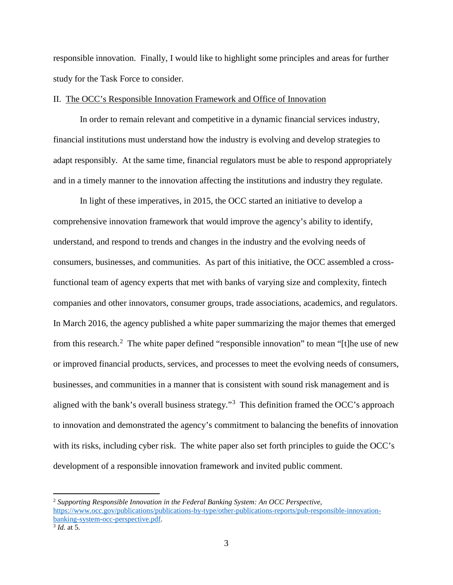responsible innovation. Finally, I would like to highlight some principles and areas for further study for the Task Force to consider.

#### II. The OCC's Responsible Innovation Framework and Office of Innovation

In order to remain relevant and competitive in a dynamic financial services industry, financial institutions must understand how the industry is evolving and develop strategies to adapt responsibly. At the same time, financial regulators must be able to respond appropriately and in a timely manner to the innovation affecting the institutions and industry they regulate.

In light of these imperatives, in 2015, the OCC started an initiative to develop a comprehensive innovation framework that would improve the agency's ability to identify, understand, and respond to trends and changes in the industry and the evolving needs of consumers, businesses, and communities. As part of this initiative, the OCC assembled a crossfunctional team of agency experts that met with banks of varying size and complexity, fintech companies and other innovators, consumer groups, trade associations, academics, and regulators. In March 2016, the agency published a white paper summarizing the major themes that emerged from this research.<sup>[2](#page-3-0)</sup> The white paper defined "responsible innovation" to mean "[t]he use of new or improved financial products, services, and processes to meet the evolving needs of consumers, businesses, and communities in a manner that is consistent with sound risk management and is aligned with the bank's overall business strategy."[3](#page-3-1) This definition framed the OCC's approach to innovation and demonstrated the agency's commitment to balancing the benefits of innovation with its risks, including cyber risk. The white paper also set forth principles to guide the OCC's development of a responsible innovation framework and invited public comment.

<span id="page-3-0"></span><sup>2</sup> *Supporting Responsible Innovation in the Federal Banking System: An OCC Perspective*, [https://www.occ.gov/publications/publications-by-type/other-publications-reports/pub-responsible-innovation](https://www.occ.gov/publications/publications-by-type/other-publications-reports/pub-responsible-innovation-banking-system-occ-perspective.pdf)[banking-system-occ-perspective.pdf.](https://www.occ.gov/publications/publications-by-type/other-publications-reports/pub-responsible-innovation-banking-system-occ-perspective.pdf)

<span id="page-3-1"></span><sup>3</sup> *Id.* at 5.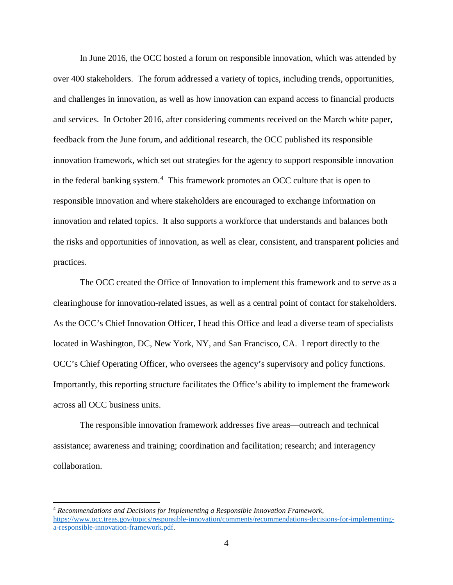In June 2016, the OCC hosted a forum on responsible innovation, which was attended by over 400 stakeholders. The forum addressed a variety of topics, including trends, opportunities, and challenges in innovation, as well as how innovation can expand access to financial products and services. In October 2016, after considering comments received on the March white paper, feedback from the June forum, and additional research, the OCC published its responsible innovation framework, which set out strategies for the agency to support responsible innovation in the federal banking system. [4](#page-4-0) This framework promotes an OCC culture that is open to responsible innovation and where stakeholders are encouraged to exchange information on innovation and related topics. It also supports a workforce that understands and balances both the risks and opportunities of innovation, as well as clear, consistent, and transparent policies and practices.

The OCC created the Office of Innovation to implement this framework and to serve as a clearinghouse for innovation-related issues, as well as a central point of contact for stakeholders. As the OCC's Chief Innovation Officer, I head this Office and lead a diverse team of specialists located in Washington, DC, New York, NY, and San Francisco, CA. I report directly to the OCC's Chief Operating Officer, who oversees the agency's supervisory and policy functions. Importantly, this reporting structure facilitates the Office's ability to implement the framework across all OCC business units.

The responsible innovation framework addresses five areas—outreach and technical assistance; awareness and training; coordination and facilitation; research; and interagency collaboration.

 $\overline{\phantom{a}}$ 

<span id="page-4-0"></span><sup>4</sup> *Recommendations and Decisions for Implementing a Responsible Innovation Framework*, [https://www.occ.treas.gov/topics/responsible-innovation/comments/recommendations-decisions-for-implementing](https://www.occ.treas.gov/topics/responsible-innovation/comments/recommendations-decisions-for-implementing-a-responsible-innovation-framework.pdf)[a-responsible-innovation-framework.pdf.](https://www.occ.treas.gov/topics/responsible-innovation/comments/recommendations-decisions-for-implementing-a-responsible-innovation-framework.pdf)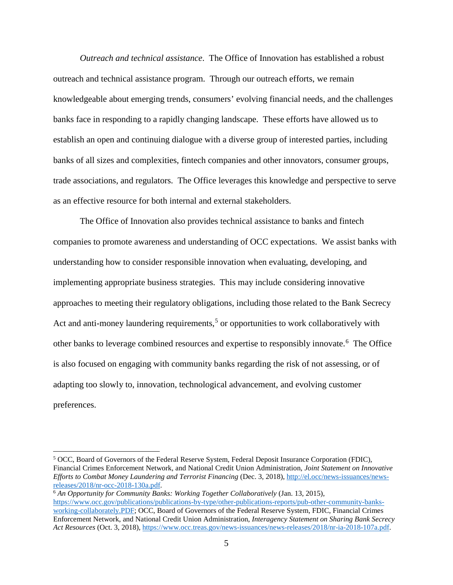*Outreach and technical assistance*. The Office of Innovation has established a robust outreach and technical assistance program. Through our outreach efforts, we remain knowledgeable about emerging trends, consumers' evolving financial needs, and the challenges banks face in responding to a rapidly changing landscape. These efforts have allowed us to establish an open and continuing dialogue with a diverse group of interested parties, including banks of all sizes and complexities, fintech companies and other innovators, consumer groups, trade associations, and regulators. The Office leverages this knowledge and perspective to serve as an effective resource for both internal and external stakeholders.

The Office of Innovation also provides technical assistance to banks and fintech companies to promote awareness and understanding of OCC expectations. We assist banks with understanding how to consider responsible innovation when evaluating, developing, and implementing appropriate business strategies. This may include considering innovative approaches to meeting their regulatory obligations, including those related to the Bank Secrecy Act and anti-money laundering requirements,<sup>[5](#page-5-0)</sup> or opportunities to work collaboratively with other banks to leverage combined resources and expertise to responsibly innovate.[6](#page-5-1) The Office is also focused on engaging with community banks regarding the risk of not assessing, or of adapting too slowly to, innovation, technological advancement, and evolving customer preferences.

 $\overline{\phantom{a}}$ 

<span id="page-5-0"></span><sup>5</sup> OCC, Board of Governors of the Federal Reserve System, Federal Deposit Insurance Corporation (FDIC), Financial Crimes Enforcement Network, and National Credit Union Administration, *Joint Statement on Innovative Efforts to Combat Money Laundering and Terrorist Financing* (Dec. 3, 2018), [http://el.occ/news-issuances/news](http://el.occ/news-issuances/news-releases/2018/nr-occ-2018-130a.pdf)[releases/2018/nr-occ-2018-130a.pdf.](http://el.occ/news-issuances/news-releases/2018/nr-occ-2018-130a.pdf)

<span id="page-5-1"></span><sup>6</sup> *An Opportunity for Community Banks: Working Together Collaboratively* (Jan. 13, 2015), [https://www.occ.gov/publications/publications-by-type/other-publications-reports/pub-other-community-banks](https://www.occ.gov/publications/publications-by-type/other-publications-reports/pub-other-community-banks-working-collaborately.PDF)[working-collaborately.PDF;](https://www.occ.gov/publications/publications-by-type/other-publications-reports/pub-other-community-banks-working-collaborately.PDF) OCC, Board of Governors of the Federal Reserve System, FDIC, Financial Crimes Enforcement Network, and National Credit Union Administration, *Interagency Statement on Sharing Bank Secrecy Act Resources* (Oct. 3, 2018)[, https://www.occ.treas.gov/news-issuances/news-releases/2018/nr-ia-2018-107a.pdf.](https://www.occ.treas.gov/news-issuances/news-releases/2018/nr-ia-2018-107a.pdf)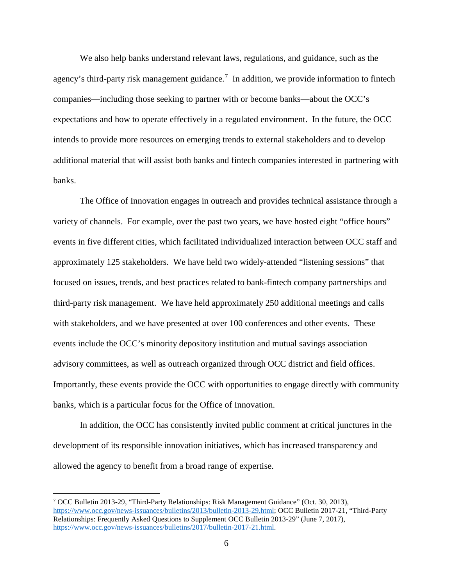We also help banks understand relevant laws, regulations, and guidance, such as the agency's third-party risk management guidance.<sup>[7](#page-6-0)</sup> In addition, we provide information to fintech companies—including those seeking to partner with or become banks—about the OCC's expectations and how to operate effectively in a regulated environment. In the future, the OCC intends to provide more resources on emerging trends to external stakeholders and to develop additional material that will assist both banks and fintech companies interested in partnering with banks.

The Office of Innovation engages in outreach and provides technical assistance through a variety of channels. For example, over the past two years, we have hosted eight "office hours" events in five different cities, which facilitated individualized interaction between OCC staff and approximately 125 stakeholders. We have held two widely-attended "listening sessions" that focused on issues, trends, and best practices related to bank-fintech company partnerships and third-party risk management. We have held approximately 250 additional meetings and calls with stakeholders, and we have presented at over 100 conferences and other events. These events include the OCC's minority depository institution and mutual savings association advisory committees, as well as outreach organized through OCC district and field offices. Importantly, these events provide the OCC with opportunities to engage directly with community banks, which is a particular focus for the Office of Innovation.

In addition, the OCC has consistently invited public comment at critical junctures in the development of its responsible innovation initiatives, which has increased transparency and allowed the agency to benefit from a broad range of expertise.

<span id="page-6-0"></span><sup>7</sup> OCC Bulletin 2013-29, "Third-Party Relationships: Risk Management Guidance" (Oct. 30, 2013), [https://www.occ.gov/news-issuances/bulletins/2013/bulletin-2013-29.html;](https://www.occ.gov/news-issuances/bulletins/2013/bulletin-2013-29.html) OCC Bulletin 2017-21, "Third-Party Relationships: Frequently Asked Questions to Supplement OCC Bulletin 2013-29" (June 7, 2017), [https://www.occ.gov/news-issuances/bulletins/2017/bulletin-2017-21.html.](https://www.occ.gov/news-issuances/bulletins/2017/bulletin-2017-21.html)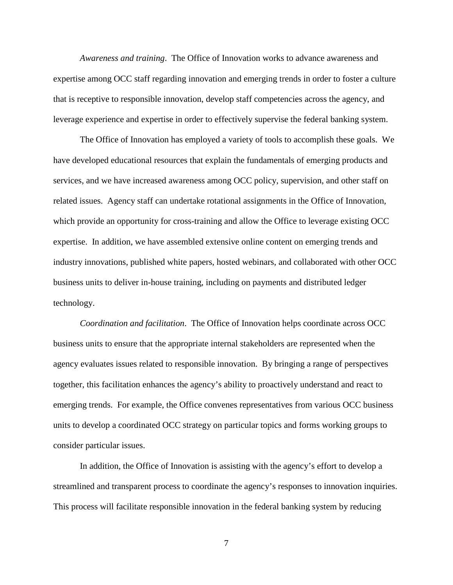*Awareness and training*. The Office of Innovation works to advance awareness and expertise among OCC staff regarding innovation and emerging trends in order to foster a culture that is receptive to responsible innovation, develop staff competencies across the agency, and leverage experience and expertise in order to effectively supervise the federal banking system.

The Office of Innovation has employed a variety of tools to accomplish these goals. We have developed educational resources that explain the fundamentals of emerging products and services, and we have increased awareness among OCC policy, supervision, and other staff on related issues. Agency staff can undertake rotational assignments in the Office of Innovation, which provide an opportunity for cross-training and allow the Office to leverage existing OCC expertise. In addition, we have assembled extensive online content on emerging trends and industry innovations, published white papers, hosted webinars, and collaborated with other OCC business units to deliver in-house training, including on payments and distributed ledger technology.

*Coordination and facilitation*. The Office of Innovation helps coordinate across OCC business units to ensure that the appropriate internal stakeholders are represented when the agency evaluates issues related to responsible innovation. By bringing a range of perspectives together, this facilitation enhances the agency's ability to proactively understand and react to emerging trends. For example, the Office convenes representatives from various OCC business units to develop a coordinated OCC strategy on particular topics and forms working groups to consider particular issues.

In addition, the Office of Innovation is assisting with the agency's effort to develop a streamlined and transparent process to coordinate the agency's responses to innovation inquiries. This process will facilitate responsible innovation in the federal banking system by reducing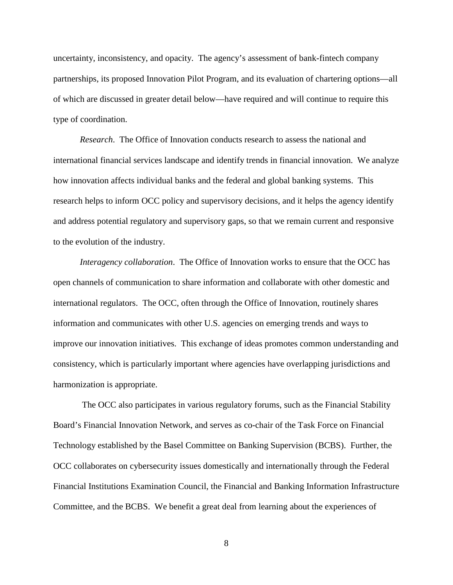uncertainty, inconsistency, and opacity. The agency's assessment of bank-fintech company partnerships, its proposed Innovation Pilot Program, and its evaluation of chartering options—all of which are discussed in greater detail below—have required and will continue to require this type of coordination.

*Research*. The Office of Innovation conducts research to assess the national and international financial services landscape and identify trends in financial innovation. We analyze how innovation affects individual banks and the federal and global banking systems. This research helps to inform OCC policy and supervisory decisions, and it helps the agency identify and address potential regulatory and supervisory gaps, so that we remain current and responsive to the evolution of the industry.

*Interagency collaboration*. The Office of Innovation works to ensure that the OCC has open channels of communication to share information and collaborate with other domestic and international regulators. The OCC, often through the Office of Innovation, routinely shares information and communicates with other U.S. agencies on emerging trends and ways to improve our innovation initiatives. This exchange of ideas promotes common understanding and consistency, which is particularly important where agencies have overlapping jurisdictions and harmonization is appropriate.

The OCC also participates in various regulatory forums, such as the Financial Stability Board's Financial Innovation Network, and serves as co-chair of the Task Force on Financial Technology established by the Basel Committee on Banking Supervision (BCBS). Further, the OCC collaborates on cybersecurity issues domestically and internationally through the Federal Financial Institutions Examination Council, the Financial and Banking Information Infrastructure Committee, and the BCBS. We benefit a great deal from learning about the experiences of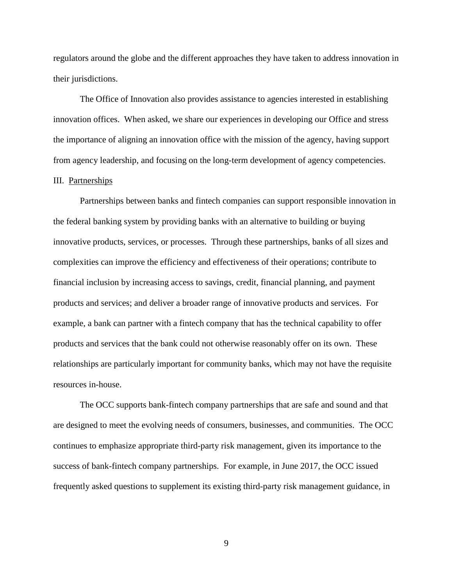regulators around the globe and the different approaches they have taken to address innovation in their jurisdictions.

The Office of Innovation also provides assistance to agencies interested in establishing innovation offices. When asked, we share our experiences in developing our Office and stress the importance of aligning an innovation office with the mission of the agency, having support from agency leadership, and focusing on the long-term development of agency competencies.

### III. Partnerships

Partnerships between banks and fintech companies can support responsible innovation in the federal banking system by providing banks with an alternative to building or buying innovative products, services, or processes. Through these partnerships, banks of all sizes and complexities can improve the efficiency and effectiveness of their operations; contribute to financial inclusion by increasing access to savings, credit, financial planning, and payment products and services; and deliver a broader range of innovative products and services. For example, a bank can partner with a fintech company that has the technical capability to offer products and services that the bank could not otherwise reasonably offer on its own. These relationships are particularly important for community banks, which may not have the requisite resources in-house.

The OCC supports bank-fintech company partnerships that are safe and sound and that are designed to meet the evolving needs of consumers, businesses, and communities. The OCC continues to emphasize appropriate third-party risk management, given its importance to the success of bank-fintech company partnerships. For example, in June 2017, the OCC issued frequently asked questions to supplement its existing third-party risk management guidance, in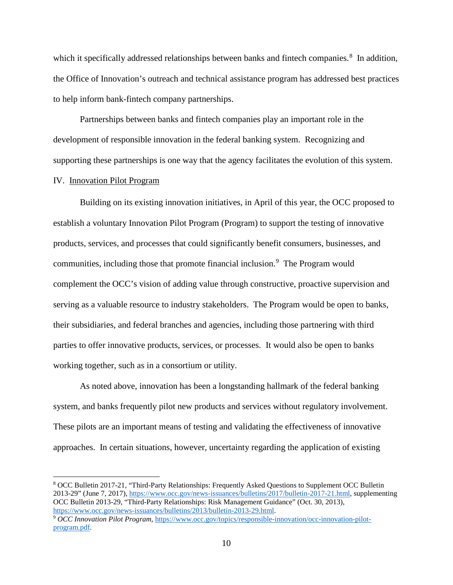which it specifically addressed relationships between banks and fintech companies.<sup>[8](#page-10-0)</sup> In addition, the Office of Innovation's outreach and technical assistance program has addressed best practices to help inform bank-fintech company partnerships.

Partnerships between banks and fintech companies play an important role in the development of responsible innovation in the federal banking system. Recognizing and supporting these partnerships is one way that the agency facilitates the evolution of this system.

### IV. Innovation Pilot Program

 $\overline{\phantom{a}}$ 

Building on its existing innovation initiatives, in April of this year, the OCC proposed to establish a voluntary Innovation Pilot Program (Program) to support the testing of innovative products, services, and processes that could significantly benefit consumers, businesses, and communities, including those that promote financial inclusion.<sup>[9](#page-10-1)</sup> The Program would complement the OCC's vision of adding value through constructive, proactive supervision and serving as a valuable resource to industry stakeholders. The Program would be open to banks, their subsidiaries, and federal branches and agencies, including those partnering with third parties to offer innovative products, services, or processes. It would also be open to banks working together, such as in a consortium or utility.

As noted above, innovation has been a longstanding hallmark of the federal banking system, and banks frequently pilot new products and services without regulatory involvement. These pilots are an important means of testing and validating the effectiveness of innovative approaches. In certain situations, however, uncertainty regarding the application of existing

<span id="page-10-0"></span><sup>8</sup> OCC Bulletin 2017-21, "Third-Party Relationships: Frequently Asked Questions to Supplement OCC Bulletin 2013-29" (June 7, 2017), [https://www.occ.gov/news-issuances/bulletins/2017/bulletin-2017-21.html,](https://www.occ.gov/news-issuances/bulletins/2017/bulletin-2017-21.html) supplementing OCC Bulletin 2013-29, "Third-Party Relationships: Risk Management Guidance" (Oct. 30, 2013), [https://www.occ.gov/news-issuances/bulletins/2013/bulletin-2013-29.html.](https://www.occ.gov/news-issuances/bulletins/2013/bulletin-2013-29.html)

<span id="page-10-1"></span><sup>9</sup> *OCC Innovation Pilot Program*[, https://www.occ.gov/topics/responsible-innovation/occ-innovation-pilot](https://www.occ.gov/topics/responsible-innovation/occ-innovation-pilot-program.pdf)[program.pdf.](https://www.occ.gov/topics/responsible-innovation/occ-innovation-pilot-program.pdf)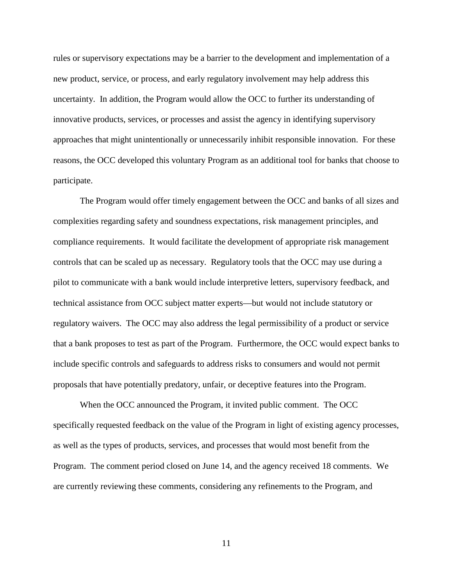rules or supervisory expectations may be a barrier to the development and implementation of a new product, service, or process, and early regulatory involvement may help address this uncertainty. In addition, the Program would allow the OCC to further its understanding of innovative products, services, or processes and assist the agency in identifying supervisory approaches that might unintentionally or unnecessarily inhibit responsible innovation. For these reasons, the OCC developed this voluntary Program as an additional tool for banks that choose to participate.

The Program would offer timely engagement between the OCC and banks of all sizes and complexities regarding safety and soundness expectations, risk management principles, and compliance requirements. It would facilitate the development of appropriate risk management controls that can be scaled up as necessary. Regulatory tools that the OCC may use during a pilot to communicate with a bank would include interpretive letters, supervisory feedback, and technical assistance from OCC subject matter experts—but would not include statutory or regulatory waivers. The OCC may also address the legal permissibility of a product or service that a bank proposes to test as part of the Program. Furthermore, the OCC would expect banks to include specific controls and safeguards to address risks to consumers and would not permit proposals that have potentially predatory, unfair, or deceptive features into the Program.

When the OCC announced the Program, it invited public comment. The OCC specifically requested feedback on the value of the Program in light of existing agency processes, as well as the types of products, services, and processes that would most benefit from the Program. The comment period closed on June 14, and the agency received 18 comments. We are currently reviewing these comments, considering any refinements to the Program, and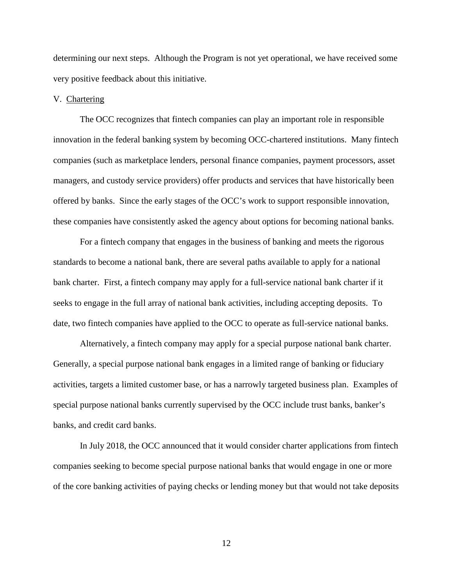determining our next steps. Although the Program is not yet operational, we have received some very positive feedback about this initiative.

#### V. Chartering

The OCC recognizes that fintech companies can play an important role in responsible innovation in the federal banking system by becoming OCC-chartered institutions.Many fintech companies (such as marketplace lenders, personal finance companies, payment processors, asset managers, and custody service providers) offer products and services that have historically been offered by banks. Since the early stages of the OCC's work to support responsible innovation, these companies have consistently asked the agency about options for becoming national banks.

For a fintech company that engages in the business of banking and meets the rigorous standards to become a national bank, there are several paths available to apply for a national bank charter. First, a fintech company may apply for a full-service national bank charter if it seeks to engage in the full array of national bank activities, including accepting deposits. To date, two fintech companies have applied to the OCC to operate as full-service national banks.

Alternatively, a fintech company may apply for a special purpose national bank charter. Generally, a special purpose national bank engages in a limited range of banking or fiduciary activities, targets a limited customer base, or has a narrowly targeted business plan. Examples of special purpose national banks currently supervised by the OCC include trust banks, banker's banks, and credit card banks.

In July 2018, the OCC announced that it would consider charter applications from fintech companies seeking to become special purpose national banks that would engage in one or more of the core banking activities of paying checks or lending money but that would not take deposits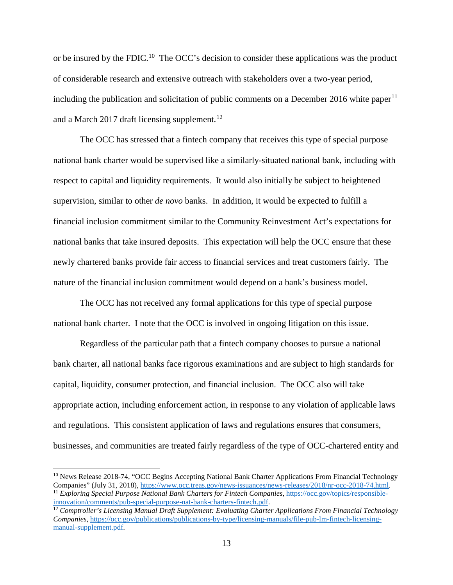or be insured by the FDIC.<sup>[10](#page-13-0)</sup> The OCC's decision to consider these applications was the product of considerable research and extensive outreach with stakeholders over a two-year period, including the publication and solicitation of public comments on a December 2016 white paper<sup>[11](#page-13-1)</sup> and a March 2017 draft licensing supplement.<sup>12</sup>

The OCC has stressed that a fintech company that receives this type of special purpose national bank charter would be supervised like a similarly-situated national bank, including with respect to capital and liquidity requirements. It would also initially be subject to heightened supervision, similar to other *de novo* banks. In addition, it would be expected to fulfill a financial inclusion commitment similar to the Community Reinvestment Act's expectations for national banks that take insured deposits. This expectation will help the OCC ensure that these newly chartered banks provide fair access to financial services and treat customers fairly. The nature of the financial inclusion commitment would depend on a bank's business model.

The OCC has not received any formal applications for this type of special purpose national bank charter. I note that the OCC is involved in ongoing litigation on this issue.

Regardless of the particular path that a fintech company chooses to pursue a national bank charter, all national banks face rigorous examinations and are subject to high standards for capital, liquidity, consumer protection, and financial inclusion. The OCC also will take appropriate action, including enforcement action, in response to any violation of applicable laws and regulations. This consistent application of laws and regulations ensures that consumers, businesses, and communities are treated fairly regardless of the type of OCC-chartered entity and

<span id="page-13-0"></span><sup>&</sup>lt;sup>10</sup> News Release 2018-74, "OCC Begins Accepting National Bank Charter Applications From Financial Technology<br>Companies" (July 31, 2018), https://www.occ.treas.gov/news-issuances/news-releases/2018/nr-occ-2018-74.html.

<span id="page-13-1"></span><sup>&</sup>lt;sup>11</sup> Exploring Special Purpose National Bank Charters for Fintech Companies, https://occ.gov/topics/responsible-innovation/comments/pub-special-purpose-nat-bank-charters-fintech.pdf. <sup>12</sup> Comptroller's Licensing Manual Draft Supplement: Evaluating Charter Applications From Financial Technology

<span id="page-13-2"></span>*Companies*, [https://occ.gov/publications/publications-by-type/licensing-manuals/file-pub-lm-fintech-licensing](https://occ.gov/publications/publications-by-type/licensing-manuals/file-pub-lm-fintech-licensing-manual-supplement.pdf)[manual-supplement.pdf.](https://occ.gov/publications/publications-by-type/licensing-manuals/file-pub-lm-fintech-licensing-manual-supplement.pdf)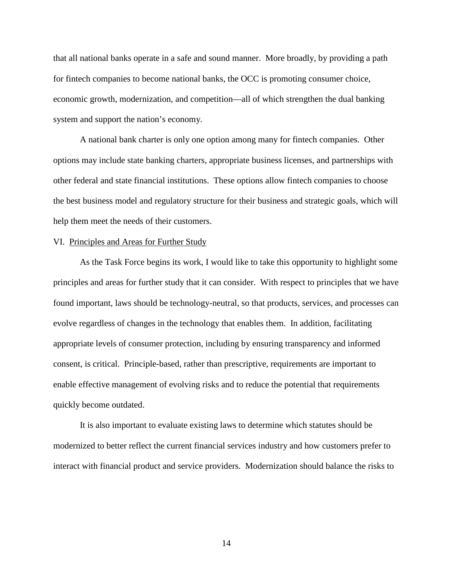that all national banks operate in a safe and sound manner. More broadly, by providing a path for fintech companies to become national banks, the OCC is promoting consumer choice, economic growth, modernization, and competition—all of which strengthen the dual banking system and support the nation's economy.

A national bank charter is only one option among many for fintech companies. Other options may include state banking charters, appropriate business licenses, and partnerships with other federal and state financial institutions. These options allow fintech companies to choose the best business model and regulatory structure for their business and strategic goals, which will help them meet the needs of their customers.

### VI. Principles and Areas for Further Study

As the Task Force begins its work, I would like to take this opportunity to highlight some principles and areas for further study that it can consider. With respect to principles that we have found important, laws should be technology-neutral, so that products, services, and processes can evolve regardless of changes in the technology that enables them. In addition, facilitating appropriate levels of consumer protection, including by ensuring transparency and informed consent, is critical. Principle-based, rather than prescriptive, requirements are important to enable effective management of evolving risks and to reduce the potential that requirements quickly become outdated.

It is also important to evaluate existing laws to determine which statutes should be modernized to better reflect the current financial services industry and how customers prefer to interact with financial product and service providers. Modernization should balance the risks to